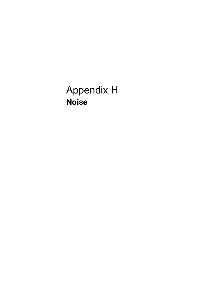Appendix H Noise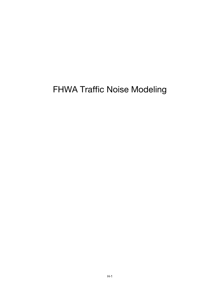## FHWA Traffic Noise Modeling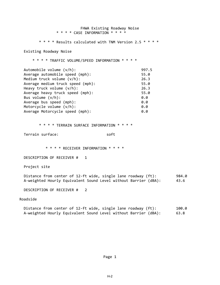FHWA Existing Roadway Noise \* \* \* \* CASE INFORMATION \* \* \* \* \* \* \* \* Results calculated with TNM Version 2.5 \* \* \* \* Existing Roadway Noise \* \* \* \* TRAFFIC VOLUME/SPEED INFORMATION \* \* \* \* Automobile volume (v/h): 997.5 Average automobile speed (mph): 55.0 Medium truck volume (v/h): 26.3 Average medium truck speed (mph): 55.0 Heavy truck volume (v/h): 26.3 Average heavy truck speed (mph): 55.0 Bus volume  $(v/h)$ : 0.0 Average bus speed (mph): 0.0<br>Motorcycle volume (y/h): 0.0 Motorcycle volume  $(v/h)$ : Average Motorcycle speed (mph): 0.0 \* \* \* \* TERRAIN SURFACE INFORMATION \* \* \* \* Terrain surface: soft \* \* \* \* RECEIVER INFORMATION \* \* \* \* DESCRIPTION OF RECEIVER # 1 Project site Distance from center of 12-ft wide, single lane roadway (ft): 984.0 A‐weighted Hourly Equivalent Sound Level without Barrier (dBA): 43.6 DESCRIPTION OF RECEIVER # 2 Roadside Distance from center of 12-ft wide, single lane roadway (ft): 100.0

A‐weighted Hourly Equivalent Sound Level without Barrier (dBA): 63.8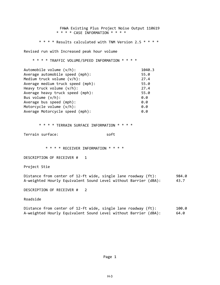FHWA Existing Plus Project Noise Output 110619 \* \* \* \* CASE INFORMATION \* \* \* \* \* \* \* \* Results calculated with TNM Version 2.5 \* \* \* \* Revised run with Increased peak hour volume \* \* \* \* TRAFFIC VOLUME/SPEED INFORMATION \* \* \* \* Automobile volume (v/h): 1040.3 Average automobile speed (mph): 55.0 Medium truck volume (v/h): 27.4 Average medium truck speed (mph): 55.0 Heavy truck volume (v/h): 27.4 Average heavy truck speed (mph): 55.0 Bus volume  $(v/h)$ : 0.0 Average bus speed (mph):<br>Motorcycle volume (y/h): 0.0 Motorcycle volume  $(v/h)$ : Average Motorcycle speed (mph): 0.0 \* \* \* \* TERRAIN SURFACE INFORMATION \* \* \* \* Terrain surface: soft \* \* \* \* RECEIVER INFORMATION \* \* \* \* DESCRIPTION OF RECEIVER # 1 Project Stie Distance from center of 12-ft wide, single lane roadway (ft): 984.0 A‐weighted Hourly Equivalent Sound Level without Barrier (dBA): 43.7 DESCRIPTION OF RECEIVER # 2 Roadside Distance from center of 12-ft wide, single lane roadway (ft): 100.0 A-weighted Hourly Equivalent Sound Level without Barrier (dBA): 64.0